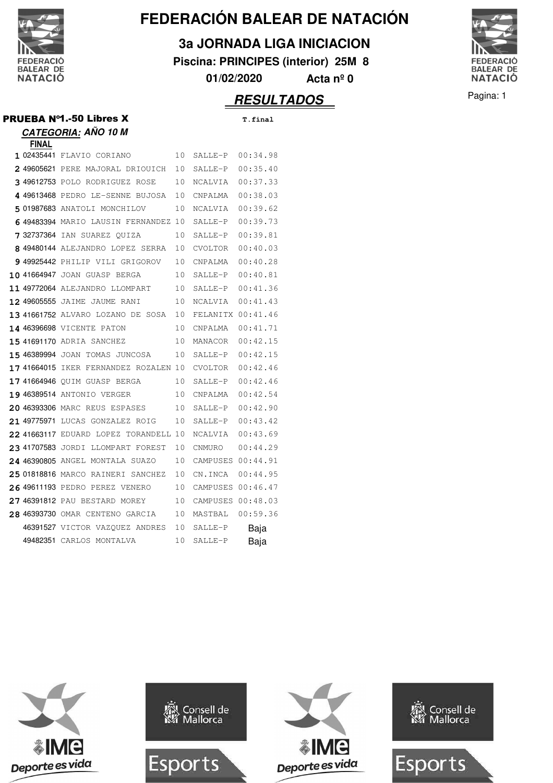

# **FEDERACIÓN BALEAR DE NATACIÓN**

### **3a JORNADA LIGA INICIACION**

**Piscina: PRINCIPES (interior) 25M 8**

**01/02/2020 Acta nº 0**

## **RESULTADOS** Pagina: 1

FEDERACIÓ<br>BALEAR DE<br>NATACIÓ

| <b>PRUEBA Nº1.-50 Libres X</b> | T.final |
|--------------------------------|---------|
| <b>CATEGORIA: AÑO 10 M</b>     |         |

|  |  | Т. |  |
|--|--|----|--|
|  |  |    |  |
|  |  |    |  |
|  |  |    |  |

| <b>FINAL</b> |                                       |    |                   |          |
|--------------|---------------------------------------|----|-------------------|----------|
|              | 1 02435441 FLAVIO CORIANO             | 10 | SALLE-P           | 00:34.98 |
|              | 2 49605621 PERE MAJORAL DRIOUICH      | 10 | SALLE-P           | 00:35.40 |
|              | 3 49612753 POLO RODRIGUEZ ROSE        | 10 | NCALVIA           | 00:37.33 |
|              | 4 49613468 PEDRO LE-SENNE BUJOSA      | 10 | CNPALMA           | 00:38.03 |
|              | 501987683 ANATOLI MONCHILOV           | 10 | NCALVIA           | 00:39.62 |
|              | 6 49483394 MARIO LAUSIN FERNANDEZ     | 10 | SALLE-P           | 00:39.73 |
|              | 732737364 IAN SUAREZ QUIZA            | 10 | SALLE-P           | 00:39.81 |
|              | 8 49480144 ALEJANDRO LOPEZ SERRA      | 10 | CVOLTOR           | 00:40.03 |
|              | 949925442 PHILIP VILI GRIGOROV        | 10 | <b>CNPALMA</b>    | 00:40.28 |
|              | 10 41664947 JOAN GUASP BERGA          | 10 | SALLE-P           | 00:40.81 |
|              | 11 49772064 ALEJANDRO LLOMPART        | 10 | SALLE-P           | 00:41.36 |
|              | 12 49605555 JAIME JAUME RANI          | 10 | NCALVIA           | 00:41.43 |
|              | 13 41661752 ALVARO LOZANO DE SOSA     | 10 | FELANITX 00:41.46 |          |
|              | 14 46396698 VICENTE PATON             | 10 | CNPALMA           | 00:41.71 |
|              | <b>15 41691170 ADRIA SANCHEZ</b>      | 10 | MANACOR           | 00:42.15 |
|              | 15 46389994 JOAN TOMAS JUNCOSA        | 10 | SALLE-P           | 00:42.15 |
|              | 17 41664015 IKER FERNANDEZ ROZALEN 10 |    | CVOLTOR           | 00:42.46 |
|              | 17 41664946 OUIM GUASP BERGA          | 10 | SALLE-P           | 00:42.46 |
|              | 19 46389514 ANTONIO VERGER            | 10 | CNPALMA           | 00:42.54 |
|              | 20 46393306 MARC REUS ESPASES         | 10 | SALLE-P           | 00:42.90 |
|              | 21 49775971 LUCAS GONZALEZ ROIG       | 10 | SALLE-P           | 00:43.42 |
|              | 22 41663117 EDUARD LOPEZ TORANDELL    | 10 | NCALVIA           | 00:43.69 |
|              | 23 41707583 JORDI LLOMPART FOREST     | 10 | CNMURO            | 00:44.29 |
|              | 24 46390805 ANGEL MONTALA SUAZO       | 10 | CAMPUSES 00:44.91 |          |
|              | 25 01818816 MARCO RAINERI SANCHEZ     | 10 | CN.INCA           | 00:44.95 |
|              | 26 49611193 PEDRO PEREZ VENERO        | 10 | CAMPUSES 00:46.47 |          |
|              | 27 46391812 PAU BESTARD MOREY         | 10 | CAMPUSES          | 00:48.03 |
|              | 28 46393730 OMAR CENTENO GARCIA       | 10 | MASTBAL           | 00:59.36 |
|              | 46391527 VICTOR VAZQUEZ ANDRES        | 10 | SALLE-P           | Baja     |
|              | 49482351 CARLOS MONTALVA              | 10 | SALLE-P           | Baja     |